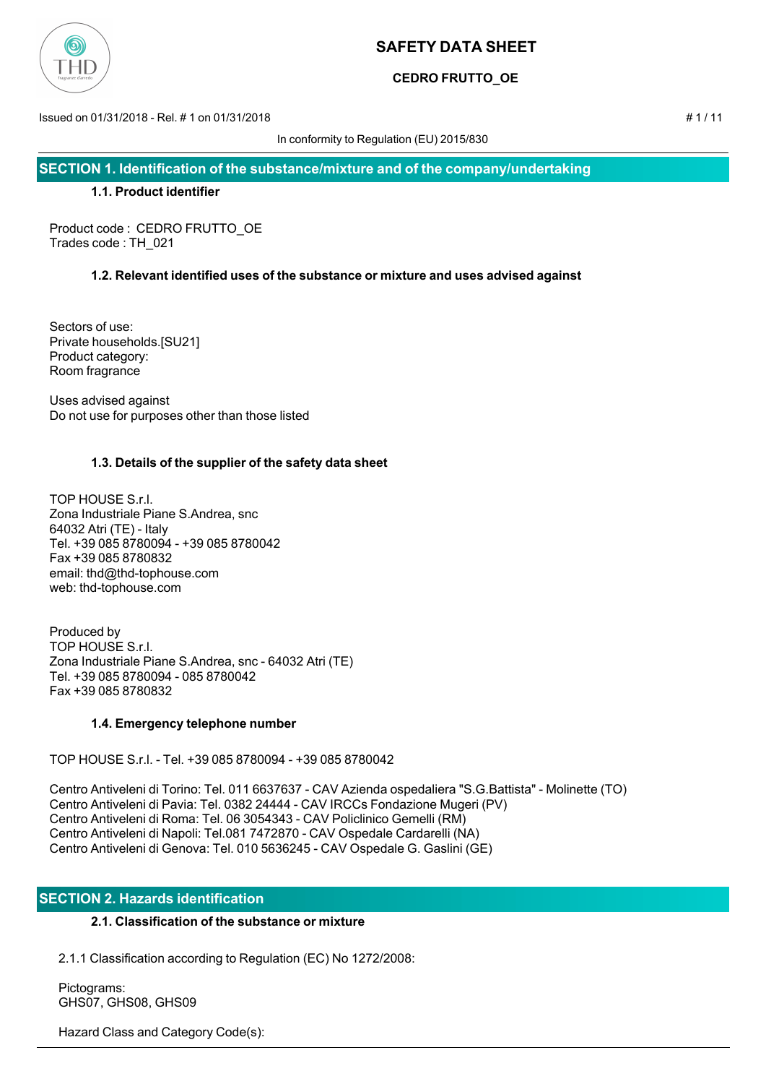

## **CEDRO FRUTTO\_OE**

Issued on 01/31/2018 - Rel. # 1 on 01/31/2018 # 1 / 11

In conformity to Regulation (EU) 2015/830

**SECTION 1. Identification of the substance/mixture and of the company/undertaking**

## **1.1. Product identifier**

Product code : CEDRO FRUTTO\_OE Trades code : TH\_021

## **1.2. Relevant identified uses of the substance or mixture and uses advised against**

Sectors of use: Private households.[SU21] Product category: Room fragrance

Uses advised against Do not use for purposes other than those listed

## **1.3. Details of the supplier of the safety data sheet**

TOP HOUSE S.r.l. Zona Industriale Piane S.Andrea, snc 64032 Atri (TE) - Italy Tel. +39 085 8780094 - +39 085 8780042 Fax +39 085 8780832 email: thd@thd-tophouse.com web: thd-tophouse.com

Produced by TOP HOUSE S.r.l. Zona Industriale Piane S.Andrea, snc - 64032 Atri (TE) Tel. +39 085 8780094 - 085 8780042 Fax +39 085 8780832

## **1.4. Emergency telephone number**

TOP HOUSE S.r.l. - Tel. +39 085 8780094 - +39 085 8780042

Centro Antiveleni di Torino: Tel. 011 6637637 - CAV Azienda ospedaliera "S.G.Battista" - Molinette (TO) Centro Antiveleni di Pavia: Tel. 0382 24444 - CAV IRCCs Fondazione Mugeri (PV) Centro Antiveleni di Roma: Tel. 06 3054343 - CAV Policlinico Gemelli (RM) Centro Antiveleni di Napoli: Tel.081 7472870 - CAV Ospedale Cardarelli (NA) Centro Antiveleni di Genova: Tel. 010 5636245 - CAV Ospedale G. Gaslini (GE)

## **SECTION 2. Hazards identification**

## **2.1. Classification of the substance or mixture**

2.1.1 Classification according to Regulation (EC) No 1272/2008:

 Pictograms: GHS07, GHS08, GHS09

Hazard Class and Category Code(s):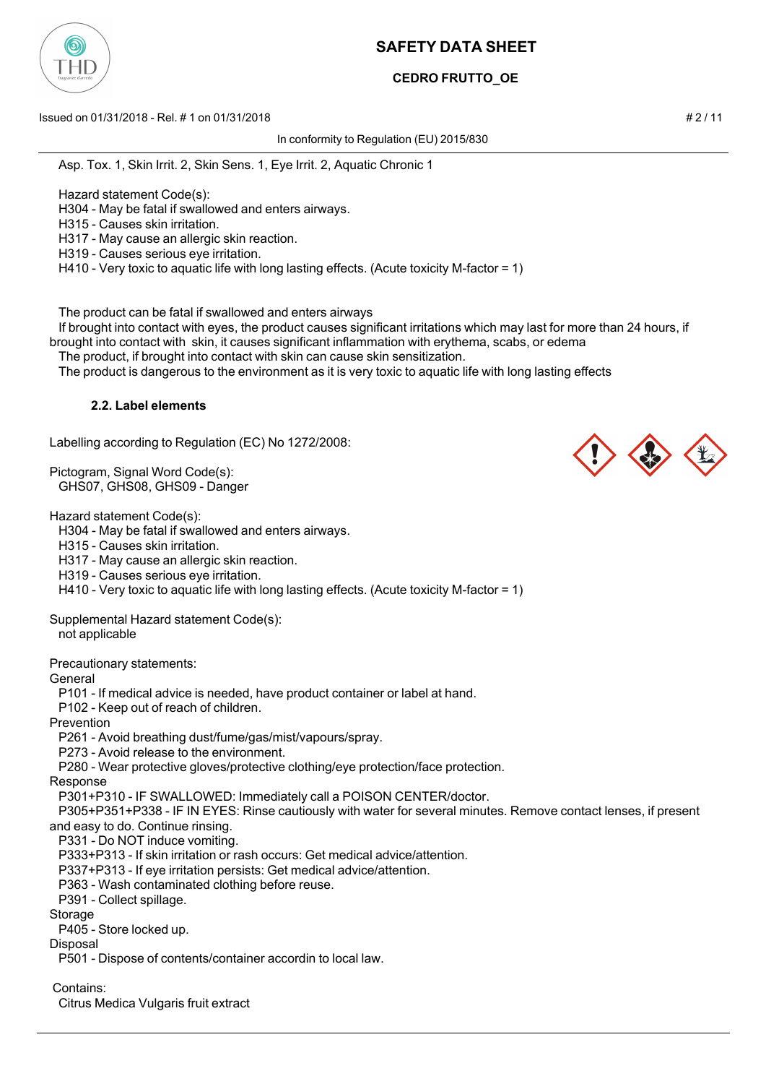

# **CEDRO FRUTTO\_OE**

Issued on 01/31/2018 - Rel. # 1 on 01/31/2018 # 2 / 11

In conformity to Regulation (EU) 2015/830

Asp. Tox. 1, Skin Irrit. 2, Skin Sens. 1, Eye Irrit. 2, Aquatic Chronic 1

Hazard statement Code(s):

H304 - May be fatal if swallowed and enters airways.

H315 - Causes skin irritation.

H317 - May cause an allergic skin reaction.

H319 - Causes serious eye irritation.

H410 - Very toxic to aquatic life with long lasting effects. (Acute toxicity M-factor = 1)

The product can be fatal if swallowed and enters airways

 If brought into contact with eyes, the product causes significant irritations which may last for more than 24 hours, if brought into contact with skin, it causes significant inflammation with erythema, scabs, or edema

The product, if brought into contact with skin can cause skin sensitization.

The product is dangerous to the environment as it is very toxic to aquatic life with long lasting effects

## **2.2. Label elements**

Labelling according to Regulation (EC) No 1272/2008:

Pictogram, Signal Word Code(s): GHS07, GHS08, GHS09 - Danger

Hazard statement Code(s):

H304 - May be fatal if swallowed and enters airways.

H315 - Causes skin irritation.

H317 - May cause an allergic skin reaction.

H319 - Causes serious eye irritation.

H410 - Very toxic to aquatic life with long lasting effects. (Acute toxicity M-factor = 1)

Supplemental Hazard statement Code(s): not applicable

Precautionary statements:

**General** 

P101 - If medical advice is needed, have product container or label at hand.

P102 - Keep out of reach of children.

Prevention

P261 - Avoid breathing dust/fume/gas/mist/vapours/spray.

P273 - Avoid release to the environment.

P280 - Wear protective gloves/protective clothing/eye protection/face protection.

Response

P301+P310 - IF SWALLOWED: Immediately call a POISON CENTER/doctor.

 P305+P351+P338 - IF IN EYES: Rinse cautiously with water for several minutes. Remove contact lenses, if present and easy to do. Continue rinsing.

P331 - Do NOT induce vomiting.

P333+P313 - If skin irritation or rash occurs: Get medical advice/attention.

P337+P313 - If eye irritation persists: Get medical advice/attention.

P363 - Wash contaminated clothing before reuse.

P391 - Collect spillage.

**Storage** 

P405 - Store locked up.

Disposal P501 - Dispose of contents/container accordin to local law.

Contains:

Citrus Medica Vulgaris fruit extract



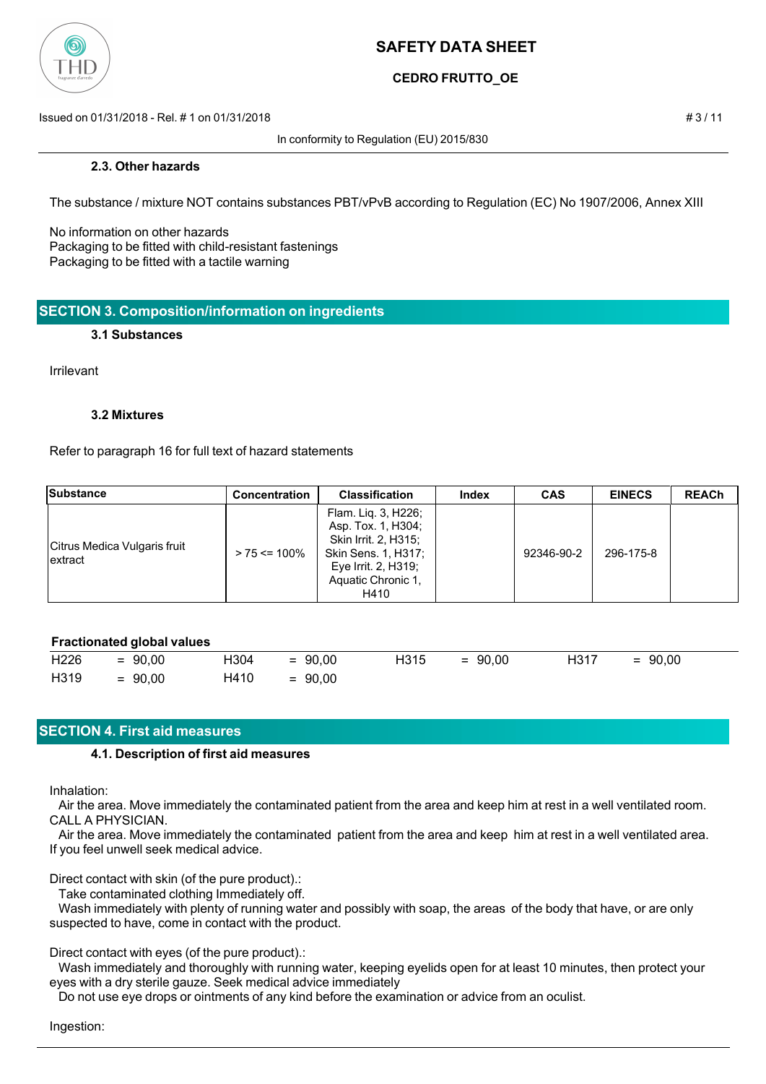

## **CEDRO FRUTTO\_OE**

Issued on 01/31/2018 - Rel. # 1 on 01/31/2018 # 3 / 11

In conformity to Regulation (EU) 2015/830

### **2.3. Other hazards**

The substance / mixture NOT contains substances PBT/vPvB according to Regulation (EC) No 1907/2006, Annex XIII

No information on other hazards Packaging to be fitted with child-resistant fastenings Packaging to be fitted with a tactile warning

## **SECTION 3. Composition/information on ingredients**

#### **3.1 Substances**

Irrilevant

### **3.2 Mixtures**

Refer to paragraph 16 for full text of hazard statements

| <b>Substance</b>                         | <b>Concentration</b> | <b>Classification</b>                                                                                                                            | Index | <b>CAS</b> | <b>EINECS</b> | <b>REACh</b> |
|------------------------------------------|----------------------|--------------------------------------------------------------------------------------------------------------------------------------------------|-------|------------|---------------|--------------|
| Citrus Medica Vulgaris fruit<br>lextract | $> 75 \le 100\%$     | Flam. Lig. 3, H226;<br>Asp. Tox. 1, H304;<br>Skin Irrit. 2, H315;<br>Skin Sens. 1, H317;<br>Eye Irrit. 2, $H319$ ;<br>Aquatic Chronic 1,<br>H410 |       | 92346-90-2 | 296-175-8     |              |

## **Fractionated global values**

| H226 | $= 90,00$ | H304 | $= 90,00$ | H315 | $= 90,00$ | H317 | $= 90,00$ |
|------|-----------|------|-----------|------|-----------|------|-----------|
| H319 | $= 90,00$ | H410 | $= 90,00$ |      |           |      |           |

## **SECTION 4. First aid measures**

#### **4.1. Description of first aid measures**

Inhalation:

 Air the area. Move immediately the contaminated patient from the area and keep him at rest in a well ventilated room. CALL A PHYSICIAN.

 Air the area. Move immediately the contaminated patient from the area and keep him at rest in a well ventilated area. If you feel unwell seek medical advice.

Direct contact with skin (of the pure product).:

Take contaminated clothing Immediately off.

 Wash immediately with plenty of running water and possibly with soap, the areas of the body that have, or are only suspected to have, come in contact with the product.

## Direct contact with eyes (of the pure product).:

 Wash immediately and thoroughly with running water, keeping eyelids open for at least 10 minutes, then protect your eyes with a dry sterile gauze. Seek medical advice immediately

Do not use eye drops or ointments of any kind before the examination or advice from an oculist.

Ingestion: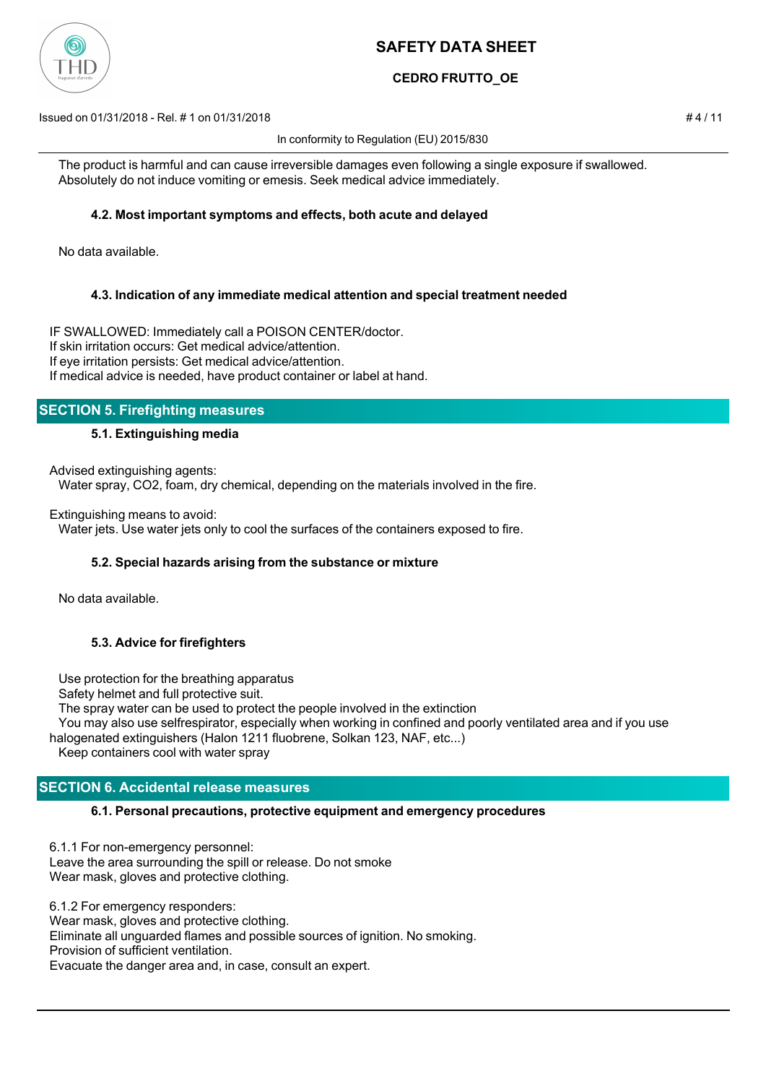

## **CEDRO FRUTTO\_OE**

Issued on 01/31/2018 - Rel. # 1 on 01/31/2018 # 4 / 11

In conformity to Regulation (EU) 2015/830

 The product is harmful and can cause irreversible damages even following a single exposure if swallowed. Absolutely do not induce vomiting or emesis. Seek medical advice immediately.

## **4.2. Most important symptoms and effects, both acute and delayed**

No data available.

## **4.3. Indication of any immediate medical attention and special treatment needed**

IF SWALLOWED: Immediately call a POISON CENTER/doctor. If skin irritation occurs: Get medical advice/attention. If eye irritation persists: Get medical advice/attention. If medical advice is needed, have product container or label at hand.

## **SECTION 5. Firefighting measures**

## **5.1. Extinguishing media**

Advised extinguishing agents:

Water spray, CO2, foam, dry chemical, depending on the materials involved in the fire.

Extinguishing means to avoid:

Water jets. Use water jets only to cool the surfaces of the containers exposed to fire.

## **5.2. Special hazards arising from the substance or mixture**

No data available.

## **5.3. Advice for firefighters**

Use protection for the breathing apparatus

Safety helmet and full protective suit.

The spray water can be used to protect the people involved in the extinction

 You may also use selfrespirator, especially when working in confined and poorly ventilated area and if you use halogenated extinguishers (Halon 1211 fluobrene, Solkan 123, NAF, etc...)

Keep containers cool with water spray

## **SECTION 6. Accidental release measures**

## **6.1. Personal precautions, protective equipment and emergency procedures**

6.1.1 For non-emergency personnel: Leave the area surrounding the spill or release. Do not smoke Wear mask, gloves and protective clothing.

6.1.2 For emergency responders: Wear mask, gloves and protective clothing. Eliminate all unguarded flames and possible sources of ignition. No smoking. Provision of sufficient ventilation. Evacuate the danger area and, in case, consult an expert.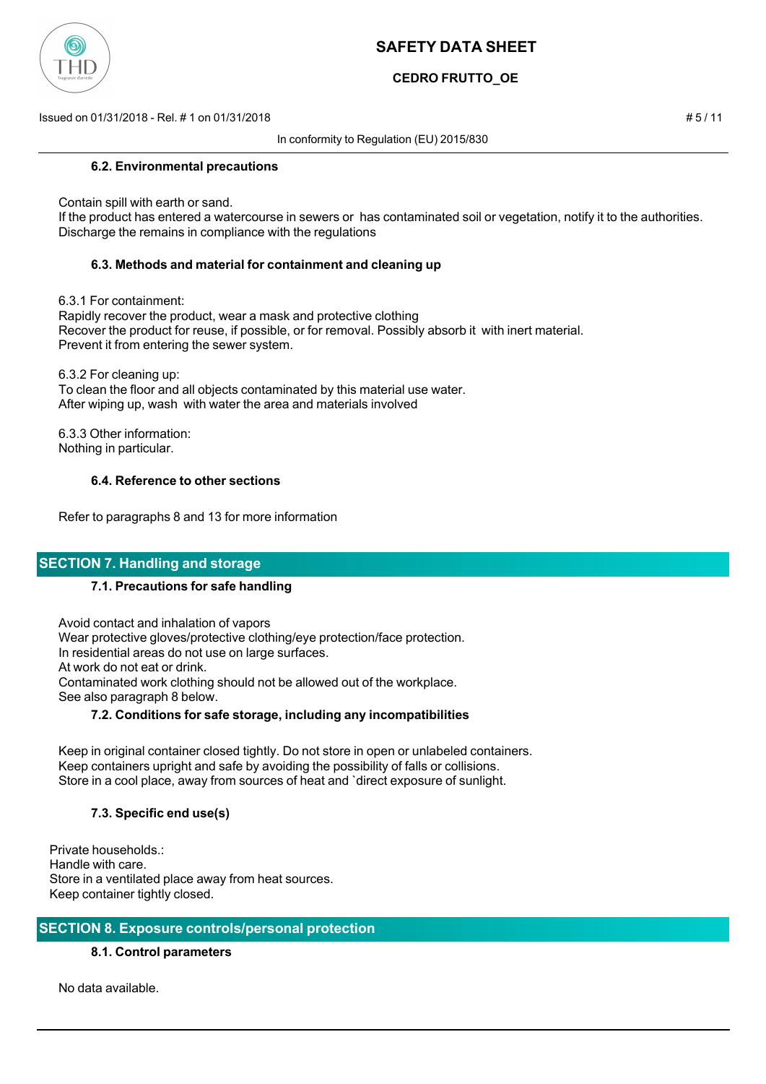

## **CEDRO FRUTTO\_OE**

Issued on 01/31/2018 - Rel. # 1 on 01/31/2018 # 5 / 11

In conformity to Regulation (EU) 2015/830

### **6.2. Environmental precautions**

Contain spill with earth or sand.

 If the product has entered a watercourse in sewers or has contaminated soil or vegetation, notify it to the authorities. Discharge the remains in compliance with the regulations

## **6.3. Methods and material for containment and cleaning up**

6.3.1 For containment:

 Rapidly recover the product, wear a mask and protective clothing Recover the product for reuse, if possible, or for removal. Possibly absorb it with inert material. Prevent it from entering the sewer system.

 6.3.2 For cleaning up: To clean the floor and all objects contaminated by this material use water. After wiping up, wash with water the area and materials involved

 6.3.3 Other information: Nothing in particular.

### **6.4. Reference to other sections**

Refer to paragraphs 8 and 13 for more information

## **SECTION 7. Handling and storage**

#### **7.1. Precautions for safe handling**

 Avoid contact and inhalation of vapors Wear protective gloves/protective clothing/eye protection/face protection. In residential areas do not use on large surfaces. At work do not eat or drink. Contaminated work clothing should not be allowed out of the workplace. See also paragraph 8 below.

### **7.2. Conditions for safe storage, including any incompatibilities**

 Keep in original container closed tightly. Do not store in open or unlabeled containers. Keep containers upright and safe by avoiding the possibility of falls or collisions. Store in a cool place, away from sources of heat and `direct exposure of sunlight.

## **7.3. Specific end use(s)**

Private households.: Handle with care. Store in a ventilated place away from heat sources. Keep container tightly closed.

## **SECTION 8. Exposure controls/personal protection**

## **8.1. Control parameters**

No data available.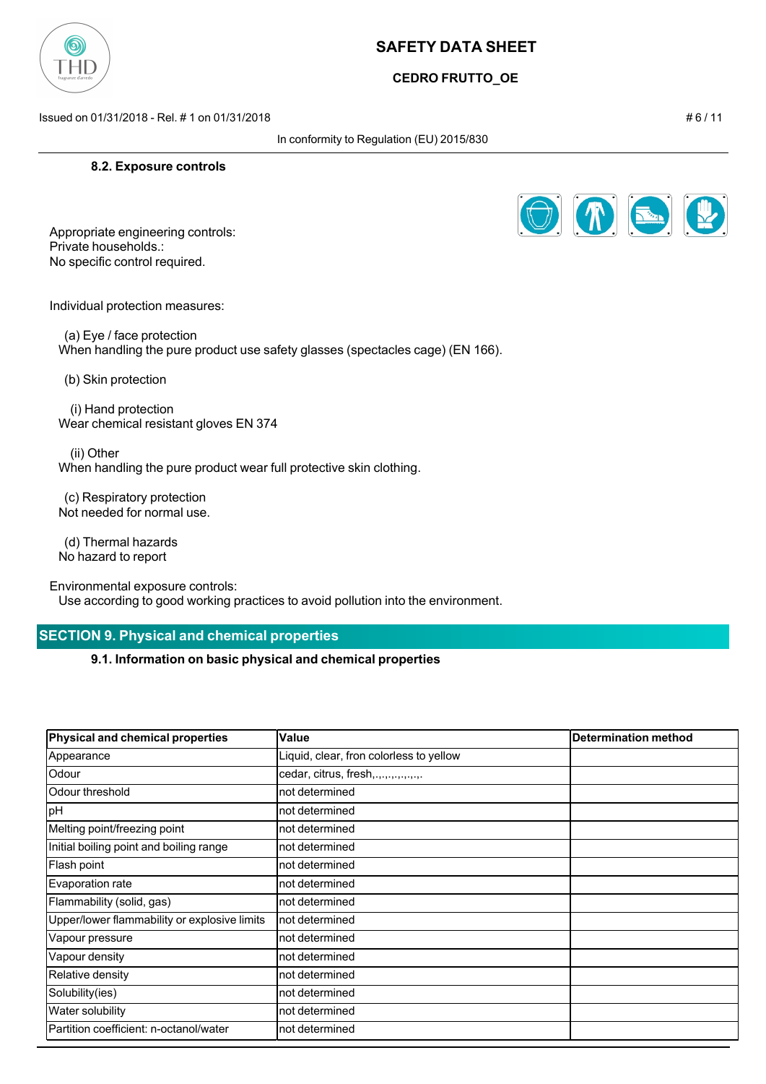

## **CEDRO FRUTTO\_OE**

Issued on 01/31/2018 - Rel. # 1 on 01/31/2018 # 6 / 11

In conformity to Regulation (EU) 2015/830

### **8.2. Exposure controls**



Appropriate engineering controls: Private households.: No specific control required.

Individual protection measures:

 (a) Eye / face protection When handling the pure product use safety glasses (spectacles cage) (EN 166).

(b) Skin protection

 (i) Hand protection Wear chemical resistant gloves EN 374

 (ii) Other When handling the pure product wear full protective skin clothing.

 (c) Respiratory protection Not needed for normal use.

 (d) Thermal hazards No hazard to report

Environmental exposure controls:

Use according to good working practices to avoid pollution into the environment.

## **SECTION 9. Physical and chemical properties**

**9.1. Information on basic physical and chemical properties**

| Physical and chemical properties             | Value                                   | <b>Determination method</b> |
|----------------------------------------------|-----------------------------------------|-----------------------------|
| Appearance                                   | Liquid, clear, fron colorless to yellow |                             |
| Odour                                        | cedar, citrus, fresh,.,.,.,.,.,.,.,.    |                             |
| lOdour threshold                             | not determined                          |                             |
| pH                                           | not determined                          |                             |
| Melting point/freezing point                 | not determined                          |                             |
| Initial boiling point and boiling range      | not determined                          |                             |
| Flash point                                  | not determined                          |                             |
| Evaporation rate                             | not determined                          |                             |
| Flammability (solid, gas)                    | not determined                          |                             |
| Upper/lower flammability or explosive limits | not determined                          |                             |
| Vapour pressure                              | not determined                          |                             |
| Vapour density                               | not determined                          |                             |
| Relative density                             | not determined                          |                             |
| Solubility(ies)                              | not determined                          |                             |
| <b>Water solubility</b>                      | not determined                          |                             |
| Partition coefficient: n-octanol/water       | not determined                          |                             |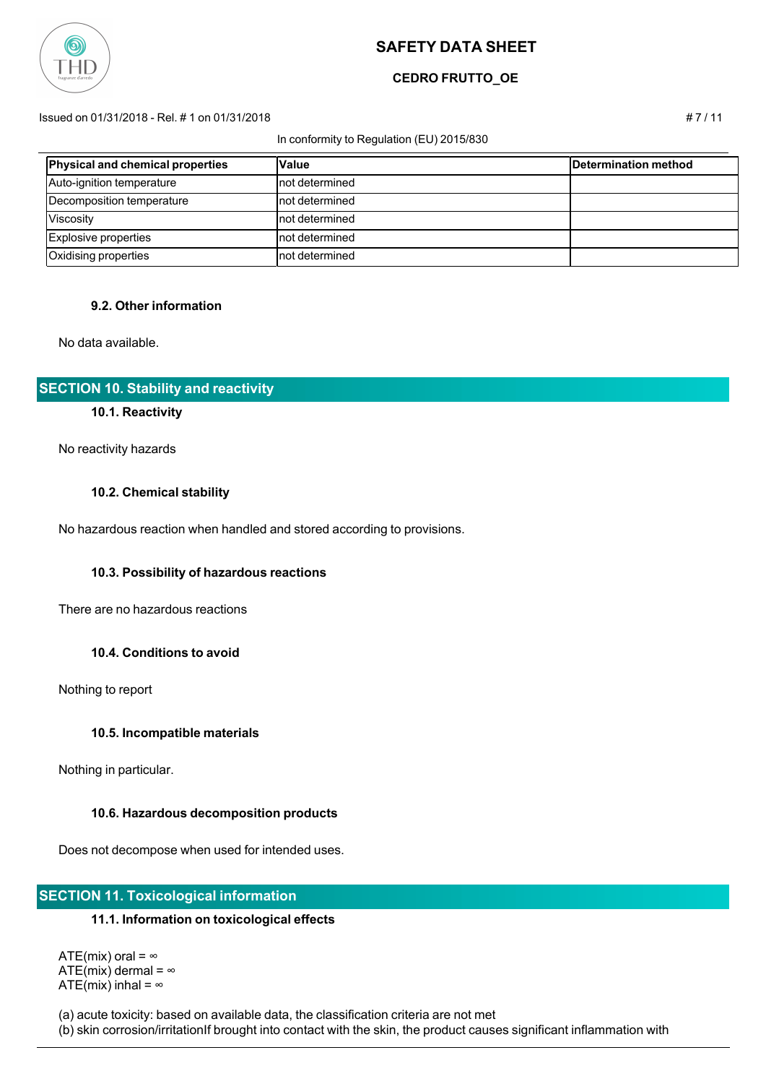

## **CEDRO FRUTTO\_OE**

#### Issued on 01/31/2018 - Rel. # 1 on 01/31/2018 # 7 / 11

#### In conformity to Regulation (EU) 2015/830

| Physical and chemical properties | <b>Value</b>    | Determination method |
|----------------------------------|-----------------|----------------------|
| Auto-ignition temperature        | Inot determined |                      |
| Decomposition temperature        | Inot determined |                      |
| Viscosity                        | Inot determined |                      |
| Explosive properties             | Inot determined |                      |
| Oxidising properties             | Inot determined |                      |

## **9.2. Other information**

No data available.

## **SECTION 10. Stability and reactivity**

#### **10.1. Reactivity**

No reactivity hazards

#### **10.2. Chemical stability**

No hazardous reaction when handled and stored according to provisions.

#### **10.3. Possibility of hazardous reactions**

There are no hazardous reactions

#### **10.4. Conditions to avoid**

Nothing to report

#### **10.5. Incompatible materials**

Nothing in particular.

#### **10.6. Hazardous decomposition products**

Does not decompose when used for intended uses.

## **SECTION 11. Toxicological information**

#### **11.1. Information on toxicological effects**

ATE(mix) oral =  $\infty$ ATE(mix) dermal =  $\infty$ ATE(mix) inhal =  $\infty$ 

(a) acute toxicity: based on available data, the classification criteria are not met

(b) skin corrosion/irritationIf brought into contact with the skin, the product causes significant inflammation with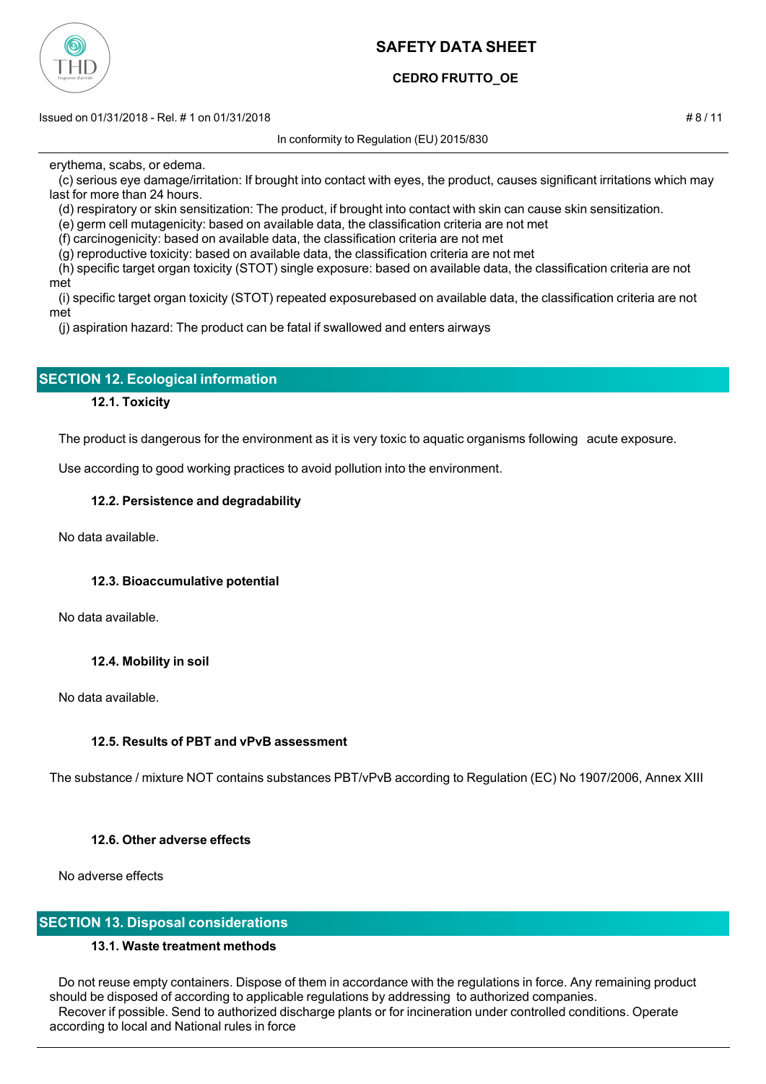

## **CEDRO FRUTTO\_OE**

Issued on 01/31/2018 - Rel. # 1 on 01/31/2018 # 8 / 11

In conformity to Regulation (EU) 2015/830

erythema, scabs, or edema.

 (c) serious eye damage/irritation: If brought into contact with eyes, the product, causes significant irritations which may last for more than 24 hours.

(d) respiratory or skin sensitization: The product, if brought into contact with skin can cause skin sensitization.

(e) germ cell mutagenicity: based on available data, the classification criteria are not met

(f) carcinogenicity: based on available data, the classification criteria are not met

(g) reproductive toxicity: based on available data, the classification criteria are not met

 (h) specific target organ toxicity (STOT) single exposure: based on available data, the classification criteria are not met

 (i) specific target organ toxicity (STOT) repeated exposurebased on available data, the classification criteria are not met

(j) aspiration hazard: The product can be fatal if swallowed and enters airways

## **SECTION 12. Ecological information**

## **12.1. Toxicity**

The product is dangerous for the environment as it is very toxic to aquatic organisms following acute exposure.

Use according to good working practices to avoid pollution into the environment.

## **12.2. Persistence and degradability**

No data available.

## **12.3. Bioaccumulative potential**

No data available.

## **12.4. Mobility in soil**

No data available.

## **12.5. Results of PBT and vPvB assessment**

The substance / mixture NOT contains substances PBT/vPvB according to Regulation (EC) No 1907/2006, Annex XIII

## **12.6. Other adverse effects**

No adverse effects

## **SECTION 13. Disposal considerations**

## **13.1. Waste treatment methods**

 Do not reuse empty containers. Dispose of them in accordance with the regulations in force. Any remaining product should be disposed of according to applicable regulations by addressing to authorized companies. Recover if possible. Send to authorized discharge plants or for incineration under controlled conditions. Operate according to local and National rules in force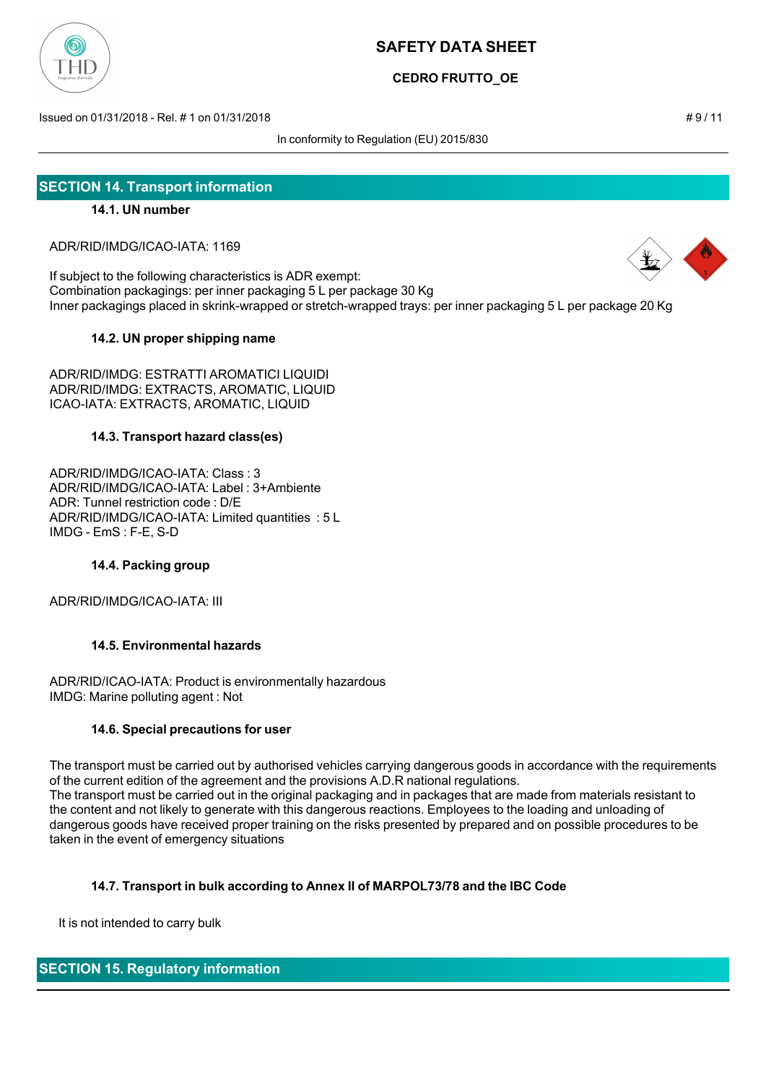

**CEDRO FRUTTO\_OE**

Issued on 01/31/2018 - Rel. # 1 on 01/31/2018 # 9 / 11

In conformity to Regulation (EU) 2015/830

## **SECTION 14. Transport information**

## **14.1. UN number**

ADR/RID/IMDG/ICAO-IATA: 1169

If subject to the following characteristics is ADR exempt: Combination packagings: per inner packaging 5 L per package 30 Kg Inner packagings placed in skrink-wrapped or stretch-wrapped trays: per inner packaging 5 L per package 20 Kg

## **14.2. UN proper shipping name**

ADR/RID/IMDG: ESTRATTI AROMATICI LIQUIDI ADR/RID/IMDG: EXTRACTS, AROMATIC, LIQUID ICAO-IATA: EXTRACTS, AROMATIC, LIQUID

## **14.3. Transport hazard class(es)**

ADR/RID/IMDG/ICAO-IATA: Class : 3 ADR/RID/IMDG/ICAO-IATA: Label : 3+Ambiente ADR: Tunnel restriction code : D/E ADR/RID/IMDG/ICAO-IATA: Limited quantities : 5 L IMDG - EmS : F-E, S-D

## **14.4. Packing group**

ADR/RID/IMDG/ICAO-IATA: III

## **14.5. Environmental hazards**

ADR/RID/ICAO-IATA: Product is environmentally hazardous IMDG: Marine polluting agent : Not

#### **14.6. Special precautions for user**

The transport must be carried out by authorised vehicles carrying dangerous goods in accordance with the requirements of the current edition of the agreement and the provisions A.D.R national regulations. The transport must be carried out in the original packaging and in packages that are made from materials resistant to the content and not likely to generate with this dangerous reactions. Employees to the loading and unloading of dangerous goods have received proper training on the risks presented by prepared and on possible procedures to be taken in the event of emergency situations

## **14.7. Transport in bulk according to Annex II of MARPOL73/78 and the IBC Code**

It is not intended to carry bulk

## **SECTION 15. Regulatory information**

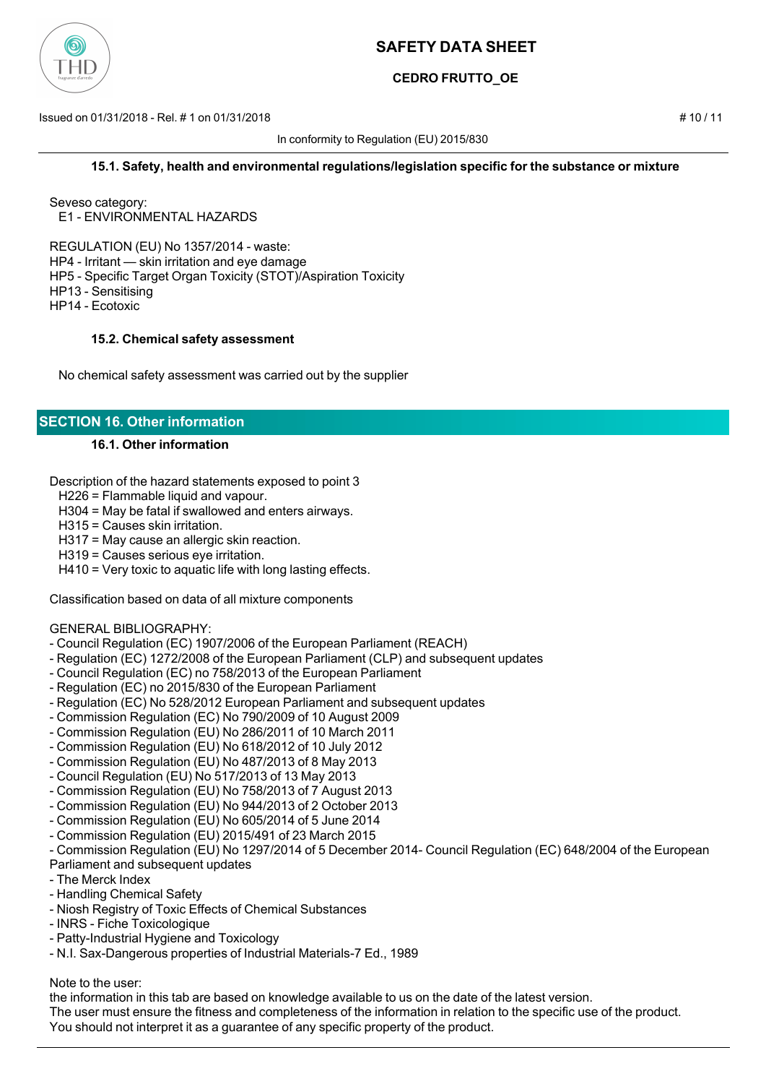

## **CEDRO FRUTTO\_OE**

Issued on 01/31/2018 - Rel. # 1 on 01/31/2018 # 10 / 11

In conformity to Regulation (EU) 2015/830

### **15.1. Safety, health and environmental regulations/legislation specific for the substance or mixture**

Seveso category: E1 - ENVIRONMENTAL HAZARDS

REGULATION (EU) No 1357/2014 - waste: HP4 - Irritant — skin irritation and eye damage HP5 - Specific Target Organ Toxicity (STOT)/Aspiration Toxicity HP13 - Sensitising HP14 - Ecotoxic

### **15.2. Chemical safety assessment**

No chemical safety assessment was carried out by the supplier

## **SECTION 16. Other information**

## **16.1. Other information**

Description of the hazard statements exposed to point 3

H226 = Flammable liquid and vapour.

H304 = May be fatal if swallowed and enters airways.

H315 = Causes skin irritation.

H317 = May cause an allergic skin reaction.

H319 = Causes serious eye irritation.

H410 = Very toxic to aquatic life with long lasting effects.

Classification based on data of all mixture components

#### GENERAL BIBLIOGRAPHY:

- Council Regulation (EC) 1907/2006 of the European Parliament (REACH)
- Regulation (EC) 1272/2008 of the European Parliament (CLP) and subsequent updates
- Council Regulation (EC) no 758/2013 of the European Parliament
- Regulation (EC) no 2015/830 of the European Parliament
- Regulation (EC) No 528/2012 European Parliament and subsequent updates
- Commission Regulation (EC) No 790/2009 of 10 August 2009
- Commission Regulation (EU) No 286/2011 of 10 March 2011
- Commission Regulation (EU) No 618/2012 of 10 July 2012
- Commission Regulation (EU) No 487/2013 of 8 May 2013
- Council Regulation (EU) No 517/2013 of 13 May 2013
- Commission Regulation (EU) No 758/2013 of 7 August 2013
- Commission Regulation (EU) No 944/2013 of 2 October 2013
- Commission Regulation (EU) No 605/2014 of 5 June 2014
- Commission Regulation (EU) 2015/491 of 23 March 2015
- Commission Regulation (EU) No 1297/2014 of 5 December 2014- Council Regulation (EC) 648/2004 of the European Parliament and subsequent updates
- The Merck Index
- Handling Chemical Safety
- Niosh Registry of Toxic Effects of Chemical Substances
- INRS Fiche Toxicologique
- Patty-Industrial Hygiene and Toxicology
- N.I. Sax-Dangerous properties of Industrial Materials-7 Ed., 1989

Note to the user:

the information in this tab are based on knowledge available to us on the date of the latest version.

The user must ensure the fitness and completeness of the information in relation to the specific use of the product.

You should not interpret it as a guarantee of any specific property of the product.